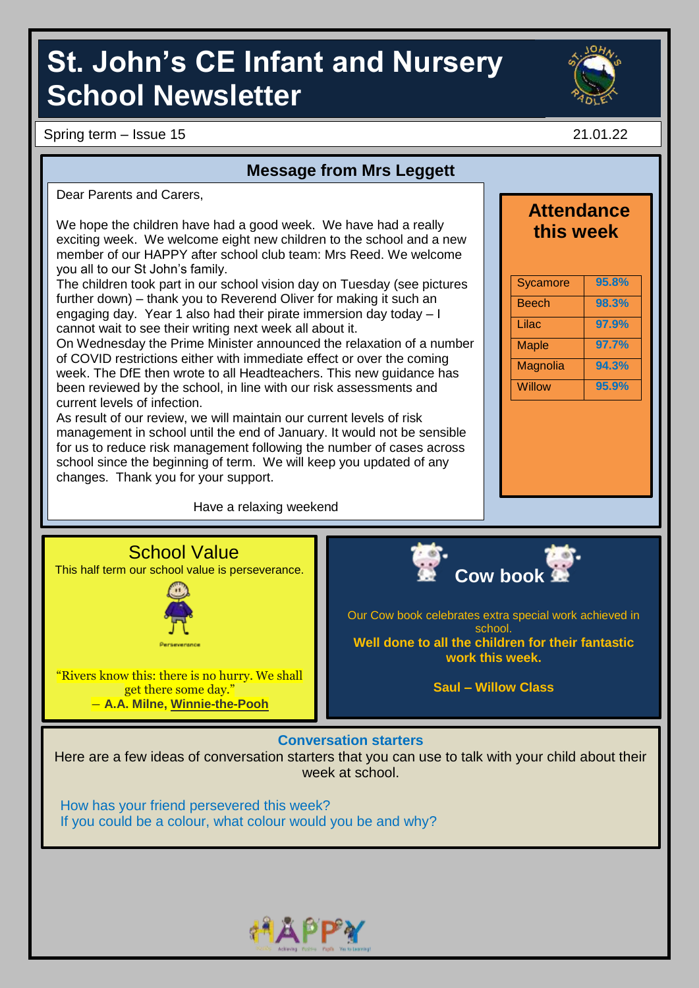# **St. John's CE Infant and Nursery School Newsletter**

Spring term – Issue 15 21.01.22

### **Message from Mrs Leggett**

Dear Parents and Carers

We hope the children have had a good week. We have had a really exciting week. We welcome eight new children to the school and a new member of our HAPPY after school club team: Mrs Reed. We welcome you all to our St John's family.

The children took part in our school vision day on Tuesday (see pictures further down) – thank you to Reverend Oliver for making it such an engaging day. Year 1 also had their pirate immersion day today – I cannot wait to see their writing next week all about it.

On Wednesday the Prime Minister announced the relaxation of a number of COVID restrictions either with immediate effect or over the coming week. The DfE then wrote to all Headteachers. This new guidance has been reviewed by the school, in line with our risk assessments and current levels of infection.

As result of our review, we will maintain our current levels of risk management in school until the end of January. It would not be sensible for us to reduce risk management following the number of cases across school since the beginning of term. We will keep you updated of any changes. Thank you for your support.

Have a relaxing weekend



**Attendance** 

## Magnolia **94.3%** Willow **95.9%**





Our Cow book celebrates extra special work achieved in school. **Well done to all the children for their fantastic work this week.**

**Saul – Willow Class**

#### **Conversation starters**

Here are a few ideas of conversation starters that you can use to talk with your child about their week at school.

How has your friend persevered this week? If you could be a colour, what colour would you be and why?

"Rivers know this: there is no hurry. We shall get there some day." ― **A.A. Milne, [Winnie-the-Pooh](https://www.goodreads.com/work/quotes/1225592)**

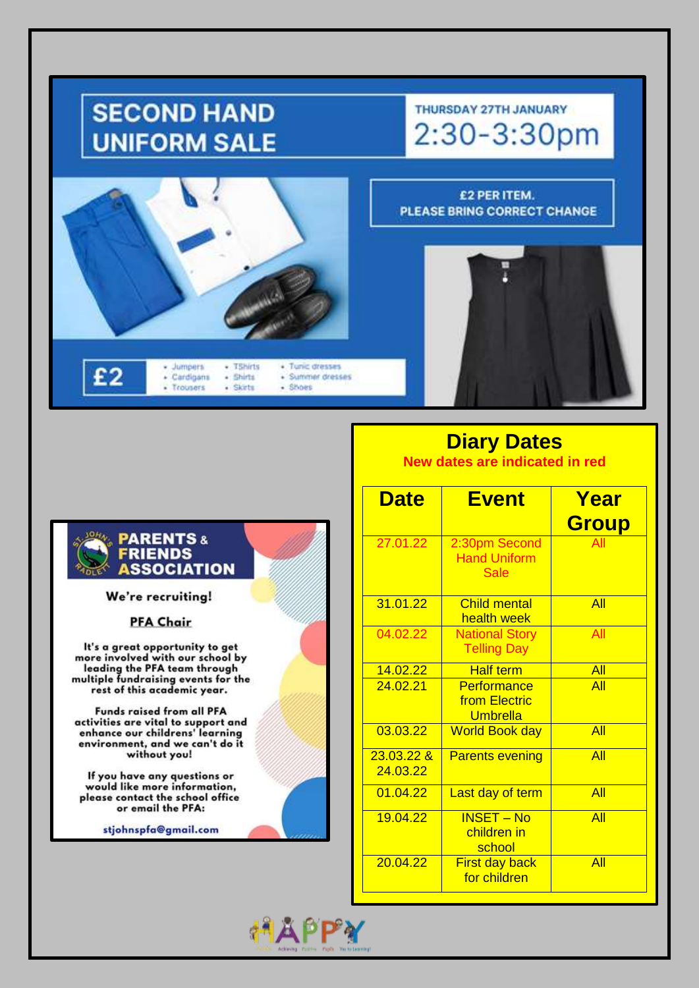## **SECOND HAND UNIFORM SALE**

## THURSDAY 27TH JANUARY 2:30-3:30pm

£2 PER ITEM.



PLEASE BRING CORRECT CHANGE



We're recruiting!

#### **PFA Chair**

It's a great opportunity to get<br>more involved with our school by<br>leading the PFA team through multiple fundraising events for the<br>rest of this academic year.

Funds raised from all PFA activities are vital to support and<br>enhance our childrens' learning environment, and we can't do it without you!

If you have any questions or would like more information, please contact the school office or email the PFA:

stjohnspfa@gmail.com

### **Diary Dates**

New dates are indicated in red

| <b>Date</b>              | <b>Event</b>                                        | Year<br><b>Group</b> |
|--------------------------|-----------------------------------------------------|----------------------|
| 27.01.22                 | 2:30pm Second<br><b>Hand Uniform</b><br><b>Sale</b> | All                  |
| 31.01.22                 | <b>Child mental</b><br>health week                  | All                  |
| 04.02.22                 | <b>National Story</b><br><b>Telling Day</b>         | All                  |
| 14.02.22                 | <b>Half term</b>                                    | All                  |
| 24.02.21                 | Performance<br>from Electric<br>Umbrella            | All                  |
| 03.03.22                 | <b>World Book day</b>                               | All                  |
| $23.03.22$ &<br>24.03.22 | <b>Parents evening</b>                              | All                  |
| 01.04.22                 | Last day of term                                    | All                  |
| 19.04.22                 | <b>INSET - No</b><br>children in<br>school          | All                  |
| 20.04.22                 | <b>First day back</b><br>for children               | All                  |

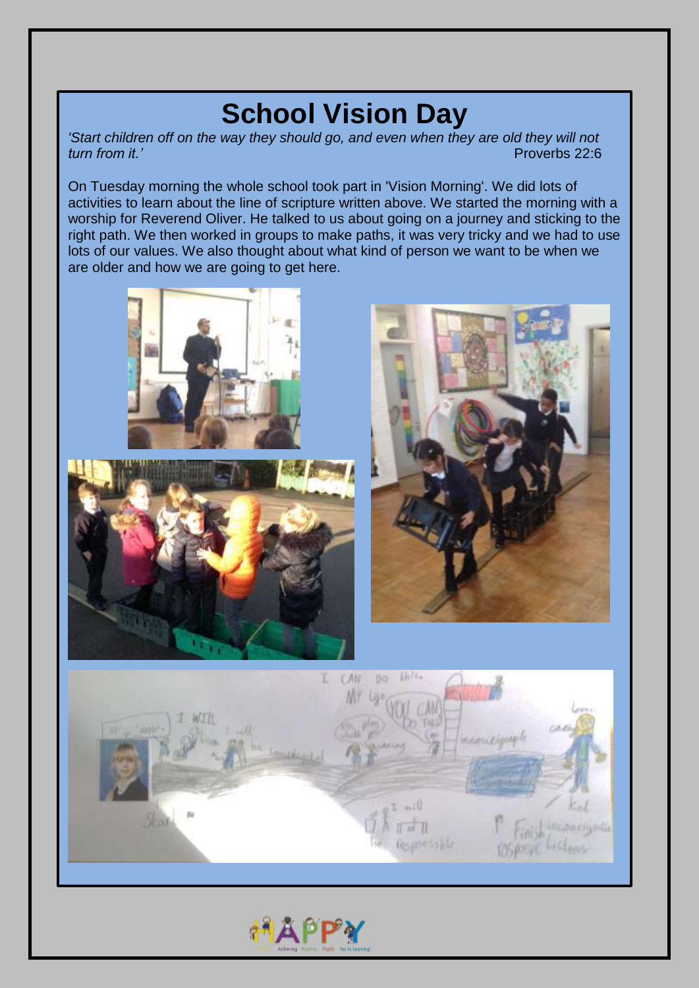## **School Vision Day**

*'Start children off on the way they should go, and even when they are old they will not*  Proverbs 22:6

On Tuesday morning the whole school took part in 'Vision Morning'. We did lots of activities to learn about the line of scripture written above. We started the morning with a worship for Reverend Oliver. He talked to us about going on a journey and sticking to the right path. We then worked in groups to make paths, it was very tricky and we had to use lots of our values. We also thought about what kind of person we want to be when we are older and how we are going to get here.